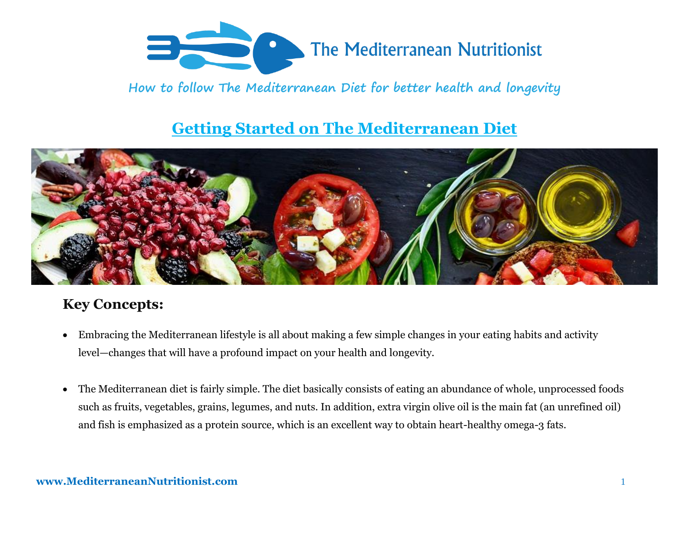

# **Getting Started on The Mediterranean Diet**



#### **Key Concepts:**

- Embracing the Mediterranean lifestyle is all about making a few simple changes in your eating habits and activity level—changes that will have a profound impact on your health and longevity.
- The Mediterranean diet is fairly simple. The diet basically consists of eating an abundance of whole, unprocessed foods such as fruits, vegetables, grains, legumes, and nuts. In addition, extra virgin olive oil is the main fat (an unrefined oil) and fish is emphasized as a protein source, which is an excellent way to obtain heart-healthy omega-3 fats.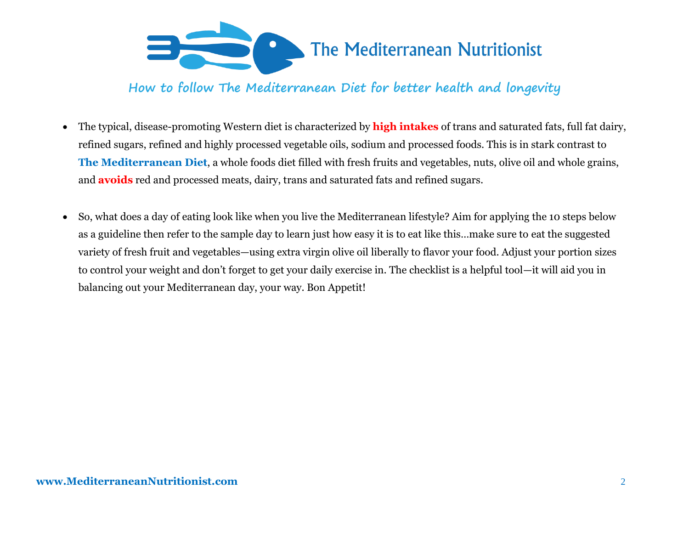

- The typical, disease-promoting Western diet is characterized by **high intakes** of trans and saturated fats, full fat dairy, refined sugars, refined and highly processed vegetable oils, sodium and processed foods. This is in stark contrast to **The Mediterranean Diet**, a whole foods diet filled with fresh fruits and vegetables, nuts, olive oil and whole grains, and **avoids** red and processed meats, dairy, trans and saturated fats and refined sugars.
- So, what does a day of eating look like when you live the Mediterranean lifestyle? Aim for applying the 10 steps below as a guideline then refer to the sample day to learn just how easy it is to eat like this…make sure to eat the suggested variety of fresh fruit and vegetables—using extra virgin olive oil liberally to flavor your food. Adjust your portion sizes to control your weight and don't forget to get your daily exercise in. The checklist is a helpful tool—it will aid you in balancing out your Mediterranean day, your way. Bon Appetit!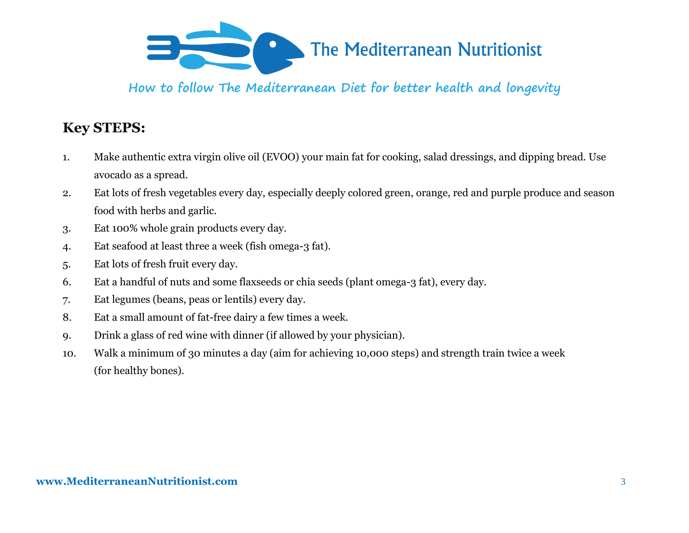

## **Key STEPS:**

- 1. Make authentic extra virgin olive oil (EVOO) your main fat for cooking, salad dressings, and dipping bread. Use avocado as a spread.
- 2. Eat lots of fresh vegetables every day, especially deeply colored green, orange, red and purple produce and season food with herbs and garlic.
- 3. Eat 100% whole grain products every day.
- 4. Eat seafood at least three a week (fish omega-3 fat).
- 5. Eat lots of fresh fruit every day.
- 6. Eat a handful of nuts and some flaxseeds or chia seeds (plant omega-3 fat), every day.
- 7. Eat legumes (beans, peas or lentils) every day.
- 8. Eat a small amount of fat-free dairy a few times a week.
- 9. Drink a glass of red wine with dinner (if allowed by your physician).
- 10. Walk a minimum of 30 minutes a day (aim for achieving 10,000 steps) and strength train twice a week (for healthy bones).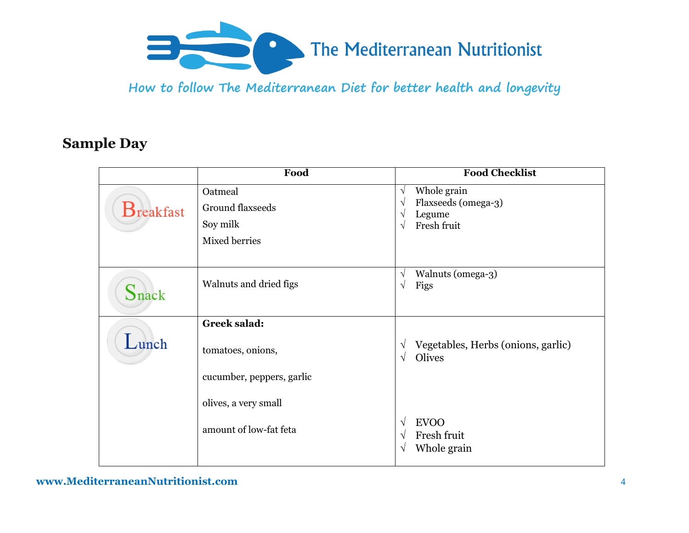

#### **Sample Day**

|                   | Food                                                     |                                                  | <b>Food Checklist</b>                                       |
|-------------------|----------------------------------------------------------|--------------------------------------------------|-------------------------------------------------------------|
| <b>B</b> reakfast | Oatmeal<br>Ground flaxseeds<br>Soy milk<br>Mixed berries | $\sqrt{ }$<br>$\gamma$<br>$\gamma$<br>$\sqrt{ }$ | Whole grain<br>Flaxseeds (omega-3)<br>Legume<br>Fresh fruit |
| $\mathbf S$ nack  | Walnuts and dried figs                                   | $\gamma$<br>$\sqrt{ }$                           | Walnuts (omega-3)<br>Figs                                   |
|                   | <b>Greek salad:</b>                                      |                                                  |                                                             |
| $L$ unch          | tomatoes, onions,                                        | $\sqrt{ }$                                       | Vegetables, Herbs (onions, garlic)<br><b>Olives</b>         |
|                   | cucumber, peppers, garlic                                |                                                  |                                                             |
|                   | olives, a very small                                     |                                                  |                                                             |
|                   | amount of low-fat feta                                   | $\sqrt{ }$<br>$\sqrt{ }$<br>V                    | <b>EVOO</b><br>Fresh fruit<br>Whole grain                   |